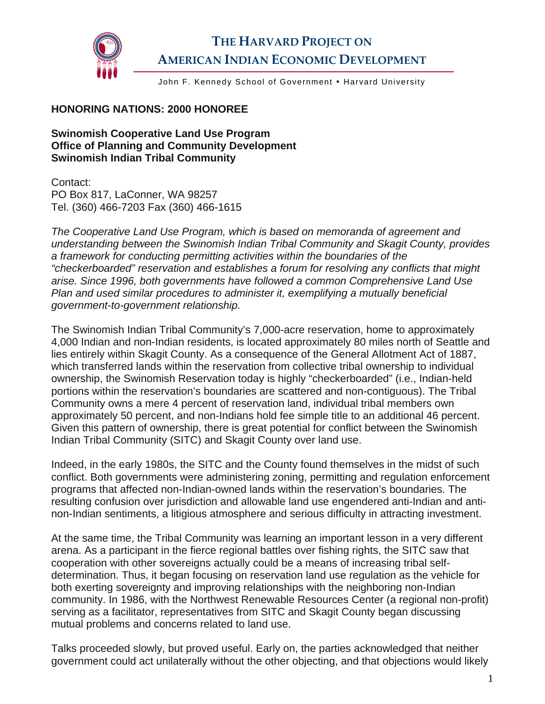

## **THE HARVARD PROJECT ON AMERICAN INDIAN ECONOMIC DEVELOPMENT**

John F. Kennedy School of Government . Harvard University

## **HONORING NATIONS: 2000 HONOREE**

**Swinomish Cooperative Land Use Program Office of Planning and Community Development Swinomish Indian Tribal Community** 

Contact: PO Box 817, LaConner, WA 98257 Tel. (360) 466-7203 Fax (360) 466-1615

*The Cooperative Land Use Program, which is based on memoranda of agreement and understanding between the Swinomish Indian Tribal Community and Skagit County, provides a framework for conducting permitting activities within the boundaries of the "checkerboarded" reservation and establishes a forum for resolving any conflicts that might arise. Since 1996, both governments have followed a common Comprehensive Land Use Plan and used similar procedures to administer it, exemplifying a mutually beneficial government-to-government relationship.* 

The Swinomish Indian Tribal Community's 7,000-acre reservation, home to approximately 4,000 Indian and non-Indian residents, is located approximately 80 miles north of Seattle and lies entirely within Skagit County. As a consequence of the General Allotment Act of 1887, which transferred lands within the reservation from collective tribal ownership to individual ownership, the Swinomish Reservation today is highly "checkerboarded" (i.e., Indian-held portions within the reservation's boundaries are scattered and non-contiguous). The Tribal Community owns a mere 4 percent of reservation land, individual tribal members own approximately 50 percent, and non-Indians hold fee simple title to an additional 46 percent. Given this pattern of ownership, there is great potential for conflict between the Swinomish Indian Tribal Community (SITC) and Skagit County over land use.

Indeed, in the early 1980s, the SITC and the County found themselves in the midst of such conflict. Both governments were administering zoning, permitting and regulation enforcement programs that affected non-Indian-owned lands within the reservation's boundaries. The resulting confusion over jurisdiction and allowable land use engendered anti-Indian and antinon-Indian sentiments, a litigious atmosphere and serious difficulty in attracting investment.

At the same time, the Tribal Community was learning an important lesson in a very different arena. As a participant in the fierce regional battles over fishing rights, the SITC saw that cooperation with other sovereigns actually could be a means of increasing tribal selfdetermination. Thus, it began focusing on reservation land use regulation as the vehicle for both exerting sovereignty and improving relationships with the neighboring non-Indian community. In 1986, with the Northwest Renewable Resources Center (a regional non-profit) serving as a facilitator, representatives from SITC and Skagit County began discussing mutual problems and concerns related to land use.

Talks proceeded slowly, but proved useful. Early on, the parties acknowledged that neither government could act unilaterally without the other objecting, and that objections would likely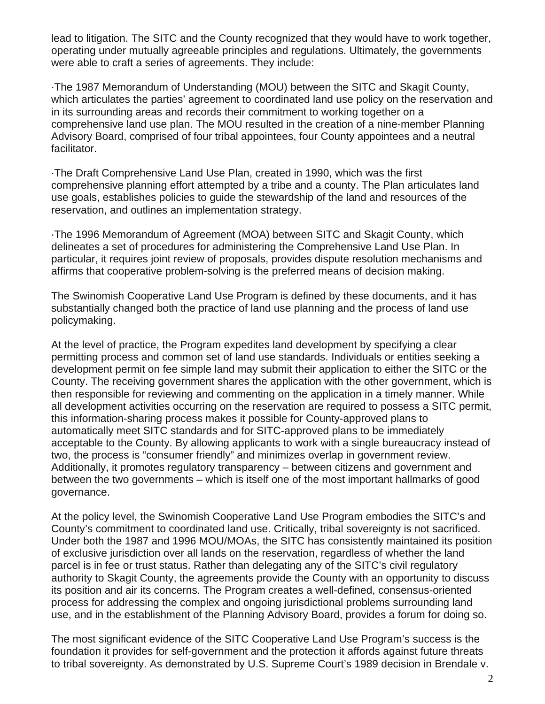lead to litigation. The SITC and the County recognized that they would have to work together, operating under mutually agreeable principles and regulations. Ultimately, the governments were able to craft a series of agreements. They include:

·The 1987 Memorandum of Understanding (MOU) between the SITC and Skagit County, which articulates the parties' agreement to coordinated land use policy on the reservation and in its surrounding areas and records their commitment to working together on a comprehensive land use plan. The MOU resulted in the creation of a nine-member Planning Advisory Board, comprised of four tribal appointees, four County appointees and a neutral facilitator.

·The Draft Comprehensive Land Use Plan, created in 1990, which was the first comprehensive planning effort attempted by a tribe and a county. The Plan articulates land use goals, establishes policies to guide the stewardship of the land and resources of the reservation, and outlines an implementation strategy.

·The 1996 Memorandum of Agreement (MOA) between SITC and Skagit County, which delineates a set of procedures for administering the Comprehensive Land Use Plan. In particular, it requires joint review of proposals, provides dispute resolution mechanisms and affirms that cooperative problem-solving is the preferred means of decision making.

The Swinomish Cooperative Land Use Program is defined by these documents, and it has substantially changed both the practice of land use planning and the process of land use policymaking.

At the level of practice, the Program expedites land development by specifying a clear permitting process and common set of land use standards. Individuals or entities seeking a development permit on fee simple land may submit their application to either the SITC or the County. The receiving government shares the application with the other government, which is then responsible for reviewing and commenting on the application in a timely manner. While all development activities occurring on the reservation are required to possess a SITC permit, this information-sharing process makes it possible for County-approved plans to automatically meet SITC standards and for SITC-approved plans to be immediately acceptable to the County. By allowing applicants to work with a single bureaucracy instead of two, the process is "consumer friendly" and minimizes overlap in government review. Additionally, it promotes regulatory transparency – between citizens and government and between the two governments – which is itself one of the most important hallmarks of good governance.

At the policy level, the Swinomish Cooperative Land Use Program embodies the SITC's and County's commitment to coordinated land use. Critically, tribal sovereignty is not sacrificed. Under both the 1987 and 1996 MOU/MOAs, the SITC has consistently maintained its position of exclusive jurisdiction over all lands on the reservation, regardless of whether the land parcel is in fee or trust status. Rather than delegating any of the SITC's civil regulatory authority to Skagit County, the agreements provide the County with an opportunity to discuss its position and air its concerns. The Program creates a well-defined, consensus-oriented process for addressing the complex and ongoing jurisdictional problems surrounding land use, and in the establishment of the Planning Advisory Board, provides a forum for doing so.

The most significant evidence of the SITC Cooperative Land Use Program's success is the foundation it provides for self-government and the protection it affords against future threats to tribal sovereignty. As demonstrated by U.S. Supreme Court's 1989 decision in Brendale v.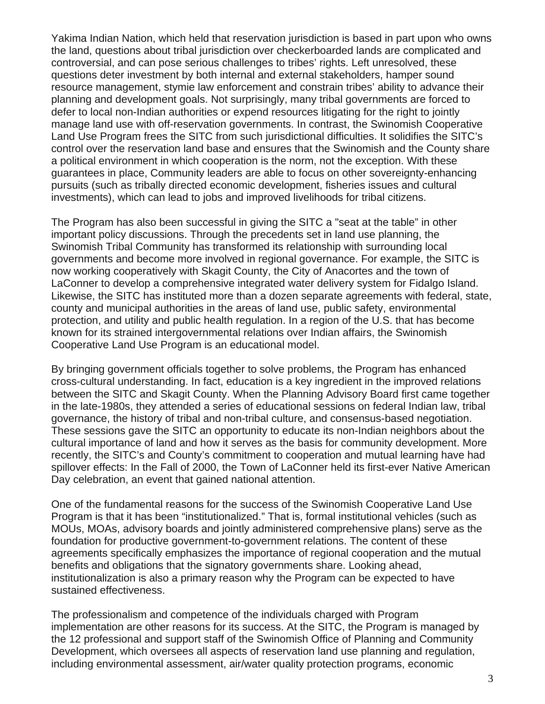Yakima Indian Nation, which held that reservation jurisdiction is based in part upon who owns the land, questions about tribal jurisdiction over checkerboarded lands are complicated and controversial, and can pose serious challenges to tribes' rights. Left unresolved, these questions deter investment by both internal and external stakeholders, hamper sound resource management, stymie law enforcement and constrain tribes' ability to advance their planning and development goals. Not surprisingly, many tribal governments are forced to defer to local non-Indian authorities or expend resources litigating for the right to jointly manage land use with off-reservation governments. In contrast, the Swinomish Cooperative Land Use Program frees the SITC from such jurisdictional difficulties. It solidifies the SITC's control over the reservation land base and ensures that the Swinomish and the County share a political environment in which cooperation is the norm, not the exception. With these guarantees in place, Community leaders are able to focus on other sovereignty-enhancing pursuits (such as tribally directed economic development, fisheries issues and cultural investments), which can lead to jobs and improved livelihoods for tribal citizens.

The Program has also been successful in giving the SITC a "seat at the table" in other important policy discussions. Through the precedents set in land use planning, the Swinomish Tribal Community has transformed its relationship with surrounding local governments and become more involved in regional governance. For example, the SITC is now working cooperatively with Skagit County, the City of Anacortes and the town of LaConner to develop a comprehensive integrated water delivery system for Fidalgo Island. Likewise, the SITC has instituted more than a dozen separate agreements with federal, state, county and municipal authorities in the areas of land use, public safety, environmental protection, and utility and public health regulation. In a region of the U.S. that has become known for its strained intergovernmental relations over Indian affairs, the Swinomish Cooperative Land Use Program is an educational model.

By bringing government officials together to solve problems, the Program has enhanced cross-cultural understanding. In fact, education is a key ingredient in the improved relations between the SITC and Skagit County. When the Planning Advisory Board first came together in the late-1980s, they attended a series of educational sessions on federal Indian law, tribal governance, the history of tribal and non-tribal culture, and consensus-based negotiation. These sessions gave the SITC an opportunity to educate its non-Indian neighbors about the cultural importance of land and how it serves as the basis for community development. More recently, the SITC's and County's commitment to cooperation and mutual learning have had spillover effects: In the Fall of 2000, the Town of LaConner held its first-ever Native American Day celebration, an event that gained national attention.

One of the fundamental reasons for the success of the Swinomish Cooperative Land Use Program is that it has been "institutionalized." That is, formal institutional vehicles (such as MOUs, MOAs, advisory boards and jointly administered comprehensive plans) serve as the foundation for productive government-to-government relations. The content of these agreements specifically emphasizes the importance of regional cooperation and the mutual benefits and obligations that the signatory governments share. Looking ahead, institutionalization is also a primary reason why the Program can be expected to have sustained effectiveness.

The professionalism and competence of the individuals charged with Program implementation are other reasons for its success. At the SITC, the Program is managed by the 12 professional and support staff of the Swinomish Office of Planning and Community Development, which oversees all aspects of reservation land use planning and regulation, including environmental assessment, air/water quality protection programs, economic